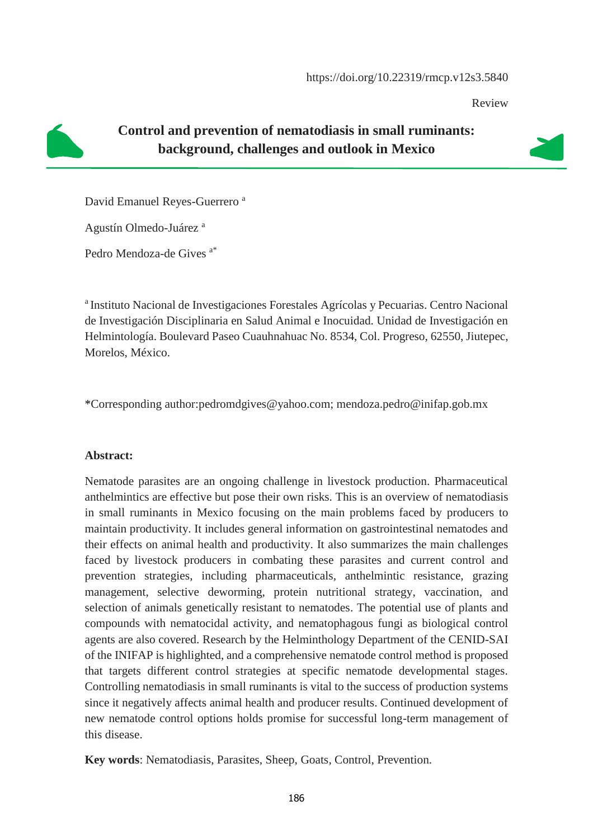Review

# **Control and prevention of nematodiasis in small ruminants: background, challenges and outlook in Mexico**

David Emanuel Reyes-Guerrero <sup>a</sup>

Agustín Olmedo-Juárez <sup>a</sup>

Pedro Mendoza-de Gives a\*

<sup>a</sup> Instituto Nacional de Investigaciones Forestales Agrícolas y Pecuarias. Centro Nacional de Investigación Disciplinaria en Salud Animal e Inocuidad. Unidad de Investigación en Helmintología. Boulevard Paseo Cuauhnahuac No. 8534, Col. Progreso, 62550, Jiutepec, Morelos, México.

\*Corresponding author:pedromdgives@yahoo.com; mendoza.pedro@inifap.gob.mx

#### **Abstract:**

Nematode parasites are an ongoing challenge in livestock production. Pharmaceutical anthelmintics are effective but pose their own risks. This is an overview of nematodiasis in small ruminants in Mexico focusing on the main problems faced by producers to maintain productivity. It includes general information on gastrointestinal nematodes and their effects on animal health and productivity. It also summarizes the main challenges faced by livestock producers in combating these parasites and current control and prevention strategies, including pharmaceuticals, anthelmintic resistance, grazing management, selective deworming, protein nutritional strategy, vaccination, and selection of animals genetically resistant to nematodes. The potential use of plants and compounds with nematocidal activity, and nematophagous fungi as biological control agents are also covered. Research by the Helminthology Department of the CENID-SAI of the INIFAP is highlighted, and a comprehensive nematode control method is proposed that targets different control strategies at specific nematode developmental stages. Controlling nematodiasis in small ruminants is vital to the success of production systems since it negatively affects animal health and producer results. Continued development of new nematode control options holds promise for successful long-term management of this disease.

**Key words**: Nematodiasis, Parasites, Sheep, Goats, Control, Prevention.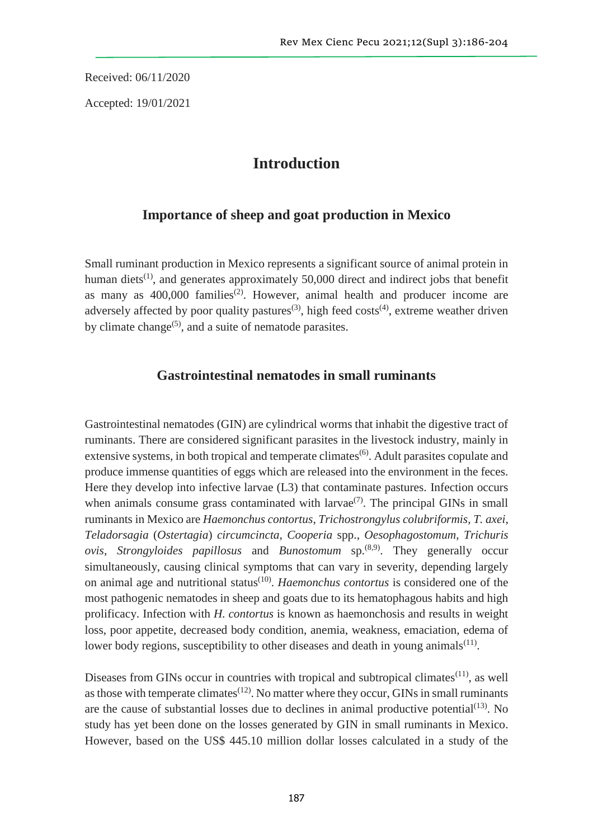Received: 06/11/2020

Accepted: 19/01/2021

# **Introduction**

### **Importance of sheep and goat production in Mexico**

Small ruminant production in Mexico represents a significant source of animal protein in human diets<sup>(1)</sup>, and generates approximately 50,000 direct and indirect jobs that benefit as many as  $400,000$  families<sup>(2)</sup>. However, animal health and producer income are adversely affected by poor quality pastures<sup>(3)</sup>, high feed costs<sup>(4)</sup>, extreme weather driven by climate change<sup> $(5)$ </sup>, and a suite of nematode parasites.

## **Gastrointestinal nematodes in small ruminants**

Gastrointestinal nematodes (GIN) are cylindrical worms that inhabit the digestive tract of ruminants. There are considered significant parasites in the livestock industry, mainly in extensive systems, in both tropical and temperate climates<sup>(6)</sup>. Adult parasites copulate and produce immense quantities of eggs which are released into the environment in the feces. Here they develop into infective larvae (L3) that contaminate pastures. Infection occurs when animals consume grass contaminated with larvae $(7)$ . The principal GINs in small ruminants in Mexico are *Haemonchus contortus*, *Trichostrongylus colubriformis*, *T. axei*, *Teladorsagia* (*Ostertagia*) *circumcincta*, *Cooperia* spp., *Oesophagostomum*, *Trichuris ovis*, *Strongyloides papillosus* and *Bunostomum* sp.(8,9). They generally occur simultaneously, causing clinical symptoms that can vary in severity, depending largely on animal age and nutritional status<sup>(10)</sup>. *Haemonchus contortus* is considered one of the most pathogenic nematodes in sheep and goats due to its hematophagous habits and high prolificacy. Infection with *H. contortus* is known as haemonchosis and results in weight loss, poor appetite, decreased body condition, anemia, weakness, emaciation, edema of lower body regions, susceptibility to other diseases and death in young animals $(11)$ .

Diseases from GINs occur in countries with tropical and subtropical climates<sup> $(11)$ </sup>, as well as those with temperate climates<sup> $(12)$ </sup>. No matter where they occur, GINs in small ruminants are the cause of substantial losses due to declines in animal productive potential $(13)$ . No study has yet been done on the losses generated by GIN in small ruminants in Mexico. However, based on the US\$ 445.10 million dollar losses calculated in a study of the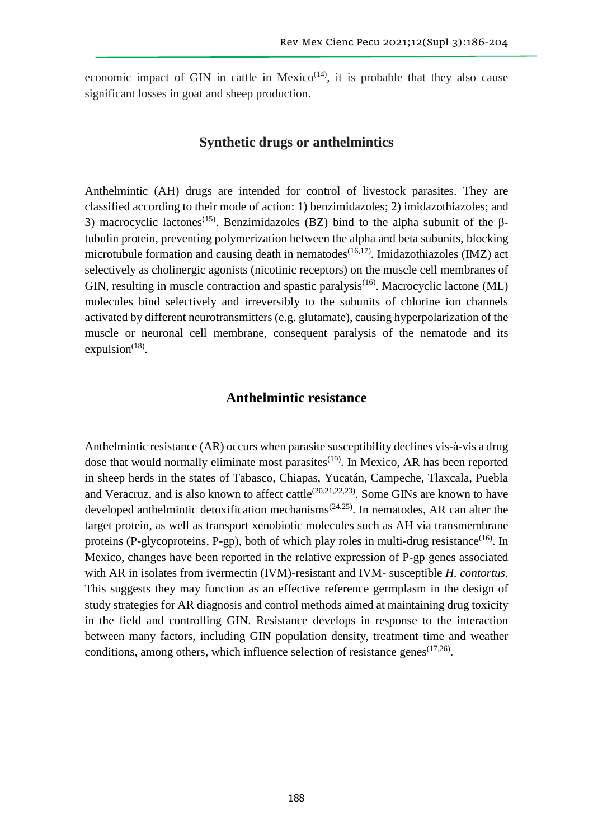economic impact of GIN in cattle in Mexico<sup> $(14)$ </sup>, it is probable that they also cause significant losses in goat and sheep production.

#### **Synthetic drugs or anthelmintics**

Anthelmintic (AH) drugs are intended for control of livestock parasites. They are classified according to their mode of action: 1) benzimidazoles; 2) imidazothiazoles; and 3) macrocyclic lactones<sup>(15)</sup>. Benzimidazoles (BZ) bind to the alpha subunit of the  $\beta$ tubulin protein, preventing polymerization between the alpha and beta subunits, blocking microtubule formation and causing death in nematodes $(16,17)$ . Imidazothiazoles (IMZ) act selectively as cholinergic agonists (nicotinic receptors) on the muscle cell membranes of GIN, resulting in muscle contraction and spastic paralysis<sup>(16)</sup>. Macrocyclic lactone (ML) molecules bind selectively and irreversibly to the subunits of chlorine ion channels activated by different neurotransmitters (e.g. glutamate), causing hyperpolarization of the muscle or neuronal cell membrane, consequent paralysis of the nematode and its expulsion $(18)$ .

#### **Anthelmintic resistance**

Anthelmintic resistance (AR) occurs when parasite susceptibility declines vis-à-vis a drug dose that would normally eliminate most parasites<sup> $(19)$ </sup>. In Mexico, AR has been reported in sheep herds in the states of Tabasco, Chiapas, Yucatán, Campeche, Tlaxcala, Puebla and Veracruz, and is also known to affect cattle<sup>(20,21,22,23)</sup>. Some GINs are known to have developed anthelmintic detoxification mechanisms<sup>(24,25)</sup>. In nematodes, AR can alter the target protein, as well as transport xenobiotic molecules such as AH via transmembrane proteins (P-glycoproteins, P-gp), both of which play roles in multi-drug resistance<sup> $(16)$ </sup>. In Mexico, changes have been reported in the relative expression of P-gp genes associated with AR in isolates from ivermectin (IVM)-resistant and IVM- susceptible *H. contortus*. This suggests they may function as an effective reference germplasm in the design of study strategies for AR diagnosis and control methods aimed at maintaining drug toxicity in the field and controlling GIN. Resistance develops in response to the interaction between many factors, including GIN population density, treatment time and weather conditions, among others, which influence selection of resistance genes $(17,26)$ .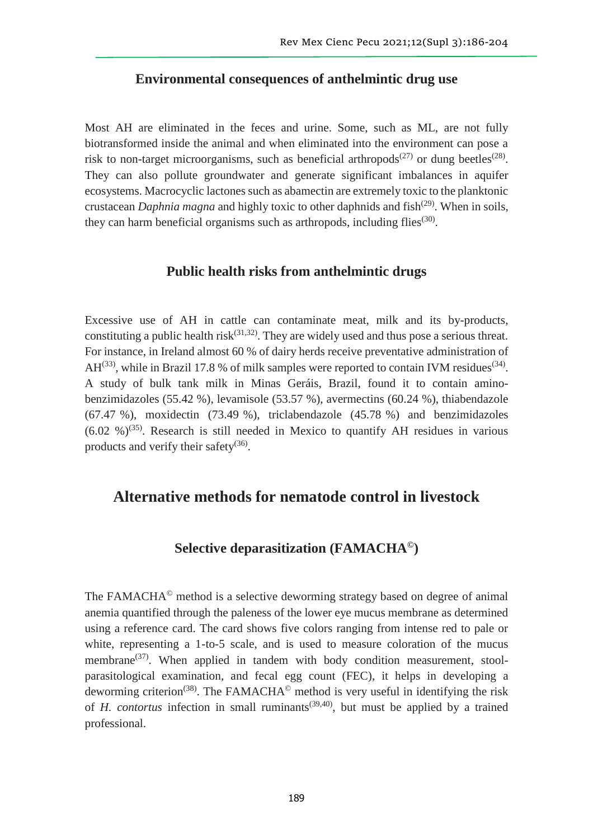#### **Environmental consequences of anthelmintic drug use**

Most AH are eliminated in the feces and urine. Some, such as ML, are not fully biotransformed inside the animal and when eliminated into the environment can pose a risk to non-target microorganisms, such as beneficial arthropods<sup> $(27)$ </sup> or dung beetles<sup> $(28)$ </sup>. They can also pollute groundwater and generate significant imbalances in aquifer ecosystems. Macrocyclic lactones such as abamectin are extremely toxic to the planktonic crustacean *Daphnia magna* and highly toxic to other daphnids and fish<sup>(29)</sup>. When in soils, they can harm beneficial organisms such as arthropods, including flies<sup>(30)</sup>.

#### **Public health risks from anthelmintic drugs**

Excessive use of AH in cattle can contaminate meat, milk and its by-products, constituting a public health risk<sup> $(31,32)$ </sup>. They are widely used and thus pose a serious threat. For instance, in Ireland almost 60 % of dairy herds receive preventative administration of AH<sup>(33)</sup>, while in Brazil 17.8 % of milk samples were reported to contain IVM residues<sup>(34)</sup>. A study of bulk tank milk in Minas Geráis, Brazil, found it to contain aminobenzimidazoles (55.42 %), levamisole (53.57 %), avermectins (60.24 %), thiabendazole (67.47 %), moxidectin (73.49 %), triclabendazole (45.78 %) and benzimidazoles  $(6.02 \%)^{(35)}$ . Research is still needed in Mexico to quantify AH residues in various products and verify their safety<sup>(36)</sup>.

# **Alternative methods for nematode control in livestock**

#### **Selective deparasitization (FAMACHA©)**

The FAMACHA© method is a selective deworming strategy based on degree of animal anemia quantified through the paleness of the lower eye mucus membrane as determined using a reference card. The card shows five colors ranging from intense red to pale or white, representing a 1-to-5 scale, and is used to measure coloration of the mucus membrane<sup>(37)</sup>. When applied in tandem with body condition measurement, stoolparasitological examination, and fecal egg count (FEC), it helps in developing a deworming criterion<sup>(38)</sup>. The FAMACHA<sup>©</sup> method is very useful in identifying the risk of *H. contortus* infection in small ruminants<sup>(39,40)</sup>, but must be applied by a trained professional.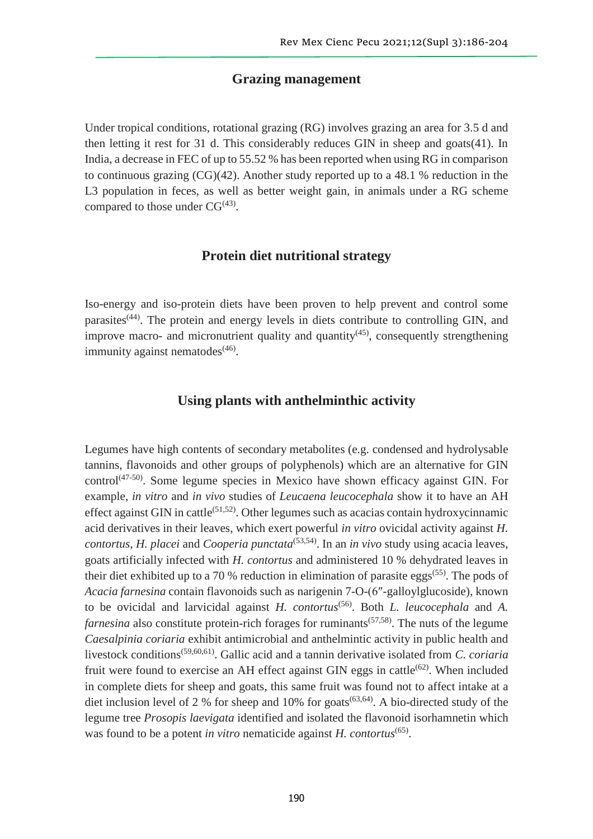#### **Grazing management**

Under tropical conditions, rotational grazing (RG) involves grazing an area for 3.5 d and then letting it rest for 31 d. This considerably reduces GIN in sheep and goats(41). In India, a decrease in FEC of up to 55.52 % has been reported when using RG in comparison to continuous grazing (CG)(42). Another study reported up to a 48.1 % reduction in the L3 population in feces, as well as better weight gain, in animals under a RG scheme compared to those under  $CG<sup>(43)</sup>$ .

#### **Protein diet nutritional strategy**

Iso-energy and iso-protein diets have been proven to help prevent and control some parasites<sup>(44)</sup>. The protein and energy levels in diets contribute to controlling GIN, and improve macro- and micronutrient quality and quantity<sup> $(45)$ </sup>, consequently strengthening immunity against nematodes<sup>(46)</sup>.

#### **Using plants with anthelminthic activity**

Legumes have high contents of secondary metabolites (e.g. condensed and hydrolysable tannins, flavonoids and other groups of polyphenols) which are an alternative for GIN control<sup>(47-50)</sup>. Some legume species in Mexico have shown efficacy against GIN. For example, *in vitro* and *in vivo* studies of *Leucaena leucocephala* show it to have an AH effect against GIN in cattle<sup> $(51,52)$ </sup>. Other legumes such as acacias contain hydroxycinnamic acid derivatives in their leaves, which exert powerful *in vitro* ovicidal activity against *H. contortus*, *H. placei* and *Cooperia punctata*(53,54) . In an *in vivo* study using acacia leaves, goats artificially infected with *H. contortus* and administered 10 % dehydrated leaves in their diet exhibited up to a 70 % reduction in elimination of parasite eggs<sup> $(55)$ </sup>. The pods of *Acacia farnesina* contain flavonoids such as narigenin 7-O-(6″-galloylglucoside), known to be ovicidal and larvicidal against *H. contortus*(56) . Both *L. leucocephala* and *A. farnesina* also constitute protein-rich forages for ruminants<sup>(57,58)</sup>. The nuts of the legume *Caesalpinia coriaria* exhibit antimicrobial and anthelmintic activity in public health and livestock conditions(59,60,61) . Gallic acid and a tannin derivative isolated from *C. coriaria* fruit were found to exercise an AH effect against GIN eggs in cattle $^{(62)}$ . When included in complete diets for sheep and goats, this same fruit was found not to affect intake at a diet inclusion level of 2 % for sheep and 10% for goats<sup> $(63,64)$ </sup>. A bio-directed study of the legume tree *Prosopis laevigata* identified and isolated the flavonoid isorhamnetin which was found to be a potent *in vitro* nematicide against *H. contortus*<sup>(65)</sup>.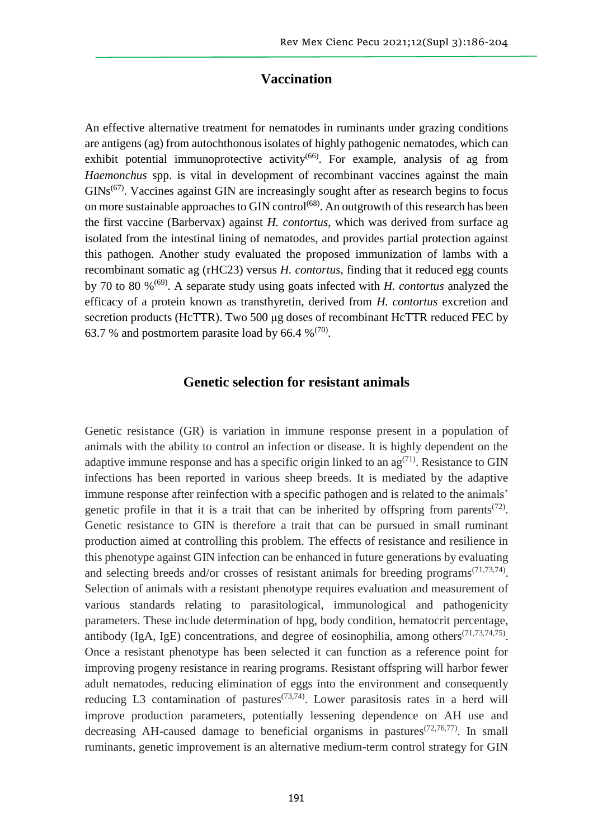#### **Vaccination**

An effective alternative treatment for nematodes in ruminants under grazing conditions are antigens (ag) from autochthonous isolates of highly pathogenic nematodes, which can exhibit potential immunoprotective activity<sup> $(66)$ </sup>. For example, analysis of ag from *Haemonchus* spp. is vital in development of recombinant vaccines against the main  $GINs<sup>(67)</sup>$ . Vaccines against GIN are increasingly sought after as research begins to focus on more sustainable approaches to GIN control<sup>(68)</sup>. An outgrowth of this research has been the first vaccine (Barbervax) against *H. contortus*, which was derived from surface ag isolated from the intestinal lining of nematodes, and provides partial protection against this pathogen. Another study evaluated the proposed immunization of lambs with a recombinant somatic ag (rHC23) versus *H. contortus*, finding that it reduced egg counts by 70 to 80 %(69) . A separate study using goats infected with *H. contortus* analyzed the efficacy of a protein known as transthyretin, derived from *H. contortus* excretion and secretion products (HcTTR). Two 500 μg doses of recombinant HcTTR reduced FEC by 63.7 % and postmortem parasite load by 66.4  $\%$ <sup>(70)</sup>.

#### **Genetic selection for resistant animals**

Genetic resistance (GR) is variation in immune response present in a population of animals with the ability to control an infection or disease. It is highly dependent on the adaptive immune response and has a specific origin linked to an  $\text{ag}^{(71)}$ . Resistance to GIN infections has been reported in various sheep breeds. It is mediated by the adaptive immune response after reinfection with a specific pathogen and is related to the animals' genetic profile in that it is a trait that can be inherited by offspring from parents<sup> $(72)$ </sup>. Genetic resistance to GIN is therefore a trait that can be pursued in small ruminant production aimed at controlling this problem. The effects of resistance and resilience in this phenotype against GIN infection can be enhanced in future generations by evaluating and selecting breeds and/or crosses of resistant animals for breeding programs<sup> $(71,73,74)$ </sup>. Selection of animals with a resistant phenotype requires evaluation and measurement of various standards relating to parasitological, immunological and pathogenicity parameters. These include determination of hpg, body condition, hematocrit percentage, antibody (IgA, IgE) concentrations, and degree of eosinophilia, among others<sup> $(71,73,74,75)$ </sup>. Once a resistant phenotype has been selected it can function as a reference point for improving progeny resistance in rearing programs. Resistant offspring will harbor fewer adult nematodes, reducing elimination of eggs into the environment and consequently reducing L3 contamination of pastures<sup> $(73,74)$ </sup>. Lower parasitosis rates in a herd will improve production parameters, potentially lessening dependence on AH use and decreasing AH-caused damage to beneficial organisms in pastures<sup> $(72,76,77)$ </sup>. In small ruminants, genetic improvement is an alternative medium-term control strategy for GIN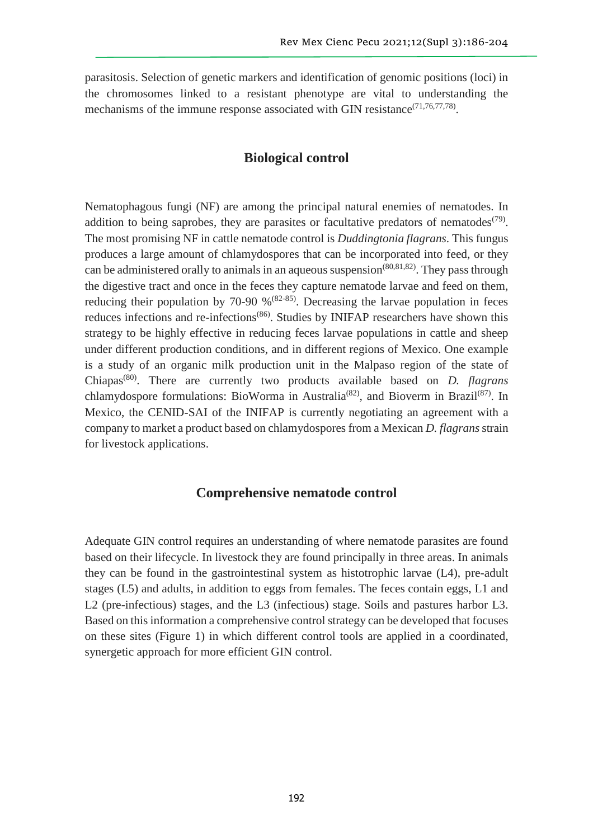parasitosis. Selection of genetic markers and identification of genomic positions (loci) in the chromosomes linked to a resistant phenotype are vital to understanding the mechanisms of the immune response associated with GIN resistance  $(71,76,77,78)$ .

#### **Biological control**

Nematophagous fungi (NF) are among the principal natural enemies of nematodes. In addition to being saprobes, they are parasites or facultative predators of nematodes<sup> $(79)$ </sup>. The most promising NF in cattle nematode control is *Duddingtonia flagrans*. This fungus produces a large amount of chlamydospores that can be incorporated into feed, or they can be administered orally to animals in an aqueous suspension<sup>(80,81,82)</sup>. They pass through the digestive tract and once in the feces they capture nematode larvae and feed on them, reducing their population by 70-90  $\%$ <sup>(82-85)</sup>. Decreasing the larvae population in feces reduces infections and re-infections<sup>(86)</sup>. Studies by INIFAP researchers have shown this strategy to be highly effective in reducing feces larvae populations in cattle and sheep under different production conditions, and in different regions of Mexico. One example is a study of an organic milk production unit in the Malpaso region of the state of Chiapas(80) . There are currently two products available based on *D. flagrans* chlamydospore formulations: BioWorma in Australia<sup>(82)</sup>, and Bioverm in Brazil<sup>(87)</sup>. In Mexico, the CENID-SAI of the INIFAP is currently negotiating an agreement with a company to market a product based on chlamydospores from a Mexican *D. flagrans*strain for livestock applications.

#### **Comprehensive nematode control**

Adequate GIN control requires an understanding of where nematode parasites are found based on their lifecycle. In livestock they are found principally in three areas. In animals they can be found in the gastrointestinal system as histotrophic larvae (L4), pre-adult stages (L5) and adults, in addition to eggs from females. The feces contain eggs, L1 and L2 (pre-infectious) stages, and the L3 (infectious) stage. Soils and pastures harbor L3. Based on this information a comprehensive control strategy can be developed that focuses on these sites (Figure 1) in which different control tools are applied in a coordinated, synergetic approach for more efficient GIN control.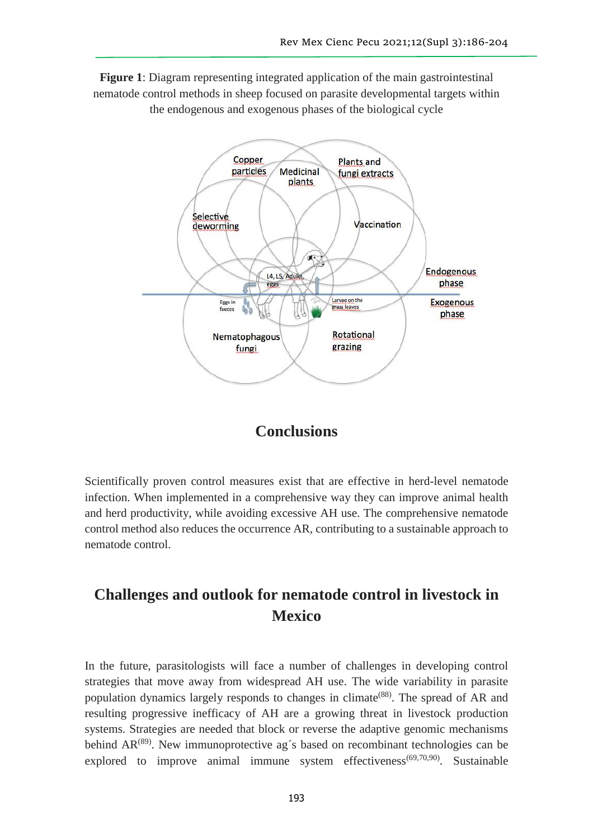



## **Conclusions**

Scientifically proven control measures exist that are effective in herd-level nematode infection. When implemented in a comprehensive way they can improve animal health and herd productivity, while avoiding excessive AH use. The comprehensive nematode control method also reduces the occurrence AR, contributing to a sustainable approach to nematode control.

# **Challenges and outlook for nematode control in livestock in Mexico**

In the future, parasitologists will face a number of challenges in developing control strategies that move away from widespread AH use. The wide variability in parasite population dynamics largely responds to changes in climate<sup>(88)</sup>. The spread of AR and resulting progressive inefficacy of AH are a growing threat in livestock production systems. Strategies are needed that block or reverse the adaptive genomic mechanisms behind  $AR^{(89)}$ . New immunoprotective ag's based on recombinant technologies can be explored to improve animal immune system effectiveness<sup>(69,70,90)</sup>. Sustainable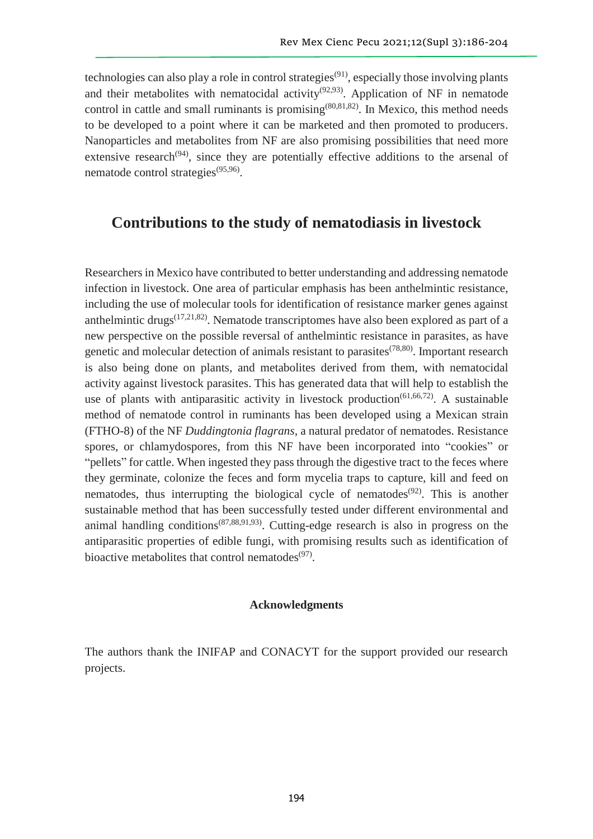technologies can also play a role in control strategies<sup>(91)</sup>, especially those involving plants and their metabolites with nematocidal activity<sup>(92,93)</sup>. Application of NF in nematode control in cattle and small ruminants is promising<sup> $(80,81,82)$ </sup>. In Mexico, this method needs to be developed to a point where it can be marketed and then promoted to producers. Nanoparticles and metabolites from NF are also promising possibilities that need more extensive research<sup> $(94)$ </sup>, since they are potentially effective additions to the arsenal of nematode control strategies<sup>(95,96)</sup>.

# **Contributions to the study of nematodiasis in livestock**

Researchers in Mexico have contributed to better understanding and addressing nematode infection in livestock. One area of particular emphasis has been anthelmintic resistance, including the use of molecular tools for identification of resistance marker genes against anthelmintic drugs<sup> $(17,21,82)$ </sup>. Nematode transcriptomes have also been explored as part of a new perspective on the possible reversal of anthelmintic resistance in parasites, as have genetic and molecular detection of animals resistant to parasites<sup>(78,80)</sup>. Important research is also being done on plants, and metabolites derived from them, with nematocidal activity against livestock parasites. This has generated data that will help to establish the use of plants with antiparasitic activity in livestock production<sup> $(61,66,72)$ </sup>. A sustainable method of nematode control in ruminants has been developed using a Mexican strain (FTHO-8) of the NF *Duddingtonia flagrans*, a natural predator of nematodes. Resistance spores, or chlamydospores, from this NF have been incorporated into "cookies" or "pellets" for cattle. When ingested they pass through the digestive tract to the feces where they germinate, colonize the feces and form mycelia traps to capture, kill and feed on nematodes, thus interrupting the biological cycle of nematodes<sup> $(92)$ </sup>. This is another sustainable method that has been successfully tested under different environmental and animal handling conditions<sup> $(87,88,91,93)$ </sup>. Cutting-edge research is also in progress on the antiparasitic properties of edible fungi, with promising results such as identification of bioactive metabolites that control nematodes $(97)$ .

#### **Acknowledgments**

The authors thank the INIFAP and CONACYT for the support provided our research projects.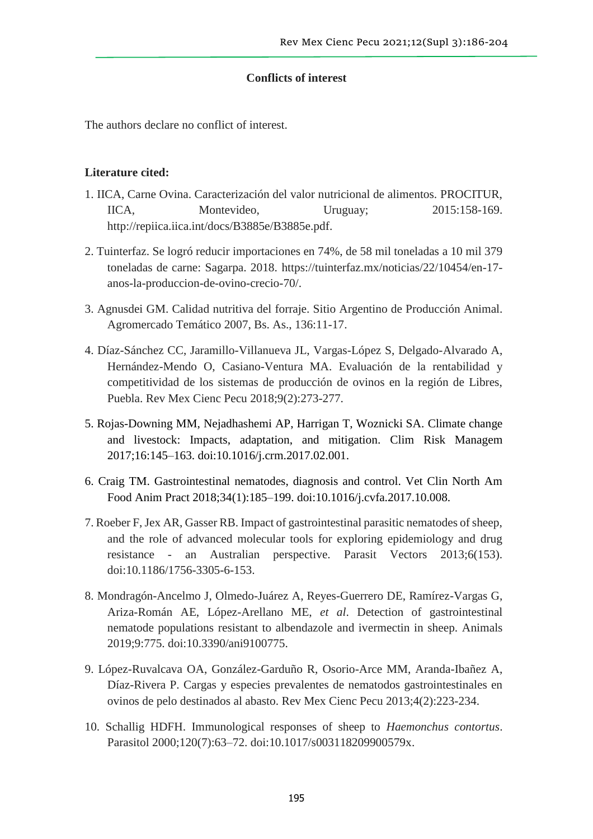#### **Conflicts of interest**

The authors declare no conflict of interest.

#### **Literature cited:**

- 1. IICA, Carne Ovina. Caracterización del valor nutricional de alimentos. PROCITUR, IICA, Montevideo, Uruguay; 2015:158-169. [http://repiica.iica.int/docs/B3885e/B3885e.pdf.](http://repiica.iica.int/docs/B3885e/B3885e.pdf)
- 2. Tuinterfaz. Se logró reducir importaciones en 74%, de 58 mil toneladas a 10 mil 379 toneladas de carne: Sagarpa. 2018. [https://tuinterfaz.mx/noticias/22/10454/en-17](https://tuinterfaz.mx/noticias/22/10454/en-17-anos-la-produccion-de-ovino-crecio-70/) [anos-la-produccion-de-ovino-crecio-70/.](https://tuinterfaz.mx/noticias/22/10454/en-17-anos-la-produccion-de-ovino-crecio-70/)
- 3. Agnusdei GM. Calidad nutritiva del forraje. Sitio Argentino de Producción Animal. Agromercado Temático 2007, Bs. As., 136:11-17.
- 4. Díaz-Sánchez CC, Jaramillo-Villanueva JL, Vargas-López S, Delgado-Alvarado A, Hernández-Mendo O, Casiano-Ventura MA. Evaluación de la rentabilidad y competitividad de los sistemas de producción de ovinos en la región de Libres, Puebla. Rev Mex Cienc Pecu 2018;9(2):273-277.
- 5. Rojas-Downing MM, Nejadhashemi AP, Harrigan T, Woznicki SA. Climate change and livestock: Impacts, adaptation, and mitigation. Clim Risk Managem 2017;16:145–163. doi:10.1016/j.crm.2017.02.001.
- 6. Craig TM. Gastrointestinal nematodes, diagnosis and control. Vet Clin North Am Food Anim Pract 2018;34(1):185–199. doi:10.1016/j.cvfa.2017.10.008.
- 7. Roeber F, Jex AR, Gasser RB. Impact of gastrointestinal parasitic nematodes of sheep, and the role of advanced molecular tools for exploring epidemiology and drug resistance - an Australian perspective. Parasit Vectors 2013;6(153). doi:10.1186/1756-3305-6-153.
- 8. Mondragón-Ancelmo J, Olmedo-Juárez A, Reyes-Guerrero DE, Ramírez-Vargas G, Ariza-Román AE, López-Arellano ME, *et al*. Detection of gastrointestinal nematode populations resistant to albendazole and ivermectin in sheep. Animals 2019;9:775. doi:10.3390/ani9100775.
- 9. López-Ruvalcava OA, González-Garduño R, Osorio-Arce MM, Aranda-Ibañez A, Díaz-Rivera P. Cargas y especies prevalentes de nematodos gastrointestinales en ovinos de pelo destinados al abasto. Rev Mex Cienc Pecu 2013;4(2):223-234.
- 10. Schallig HDFH. Immunological responses of sheep to *Haemonchus contortus*. Parasitol 2000;120(7):63–72. doi:10.1017/s003118209900579x.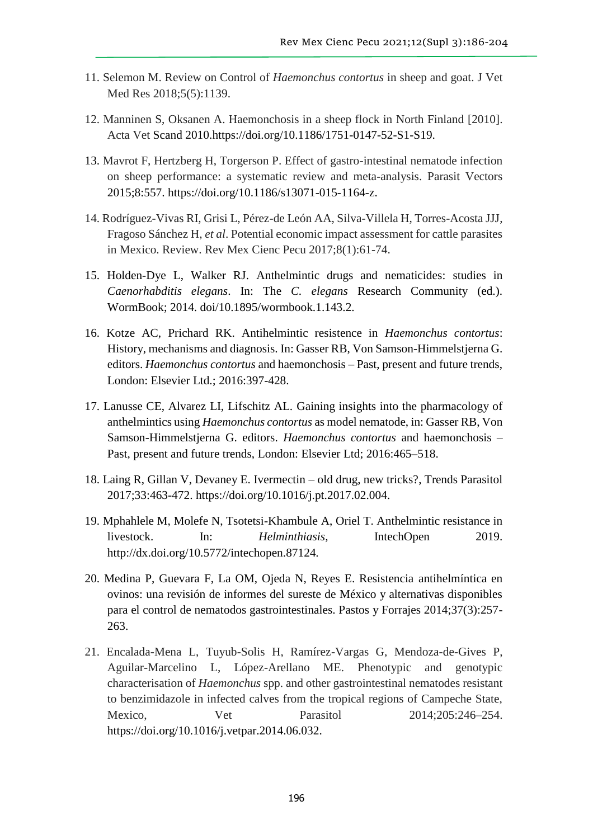- 11. Selemon M. Review on Control of *Haemonchus contortus* in sheep and goat. J Vet Med Res 2018;5(5):1139.
- 12. Manninen S, Oksanen A. Haemonchosis in a sheep flock in North Finland [2010]. Acta Vet Scand 2010[.https://doi.org/10.1186/1751-0147-52-S1-S19.](https://doi.org/10.1186/1751-0147-52-S1-S19)
- 13. Mavrot F, Hertzberg H, Torgerson P. Effect of gastro-intestinal nematode infection on sheep performance: a systematic review and meta-analysis. Parasit Vectors 2015;8:557. [https://doi.org/10.1186/s13071-015-1164-z.](https://doi.org/10.1186/s13071-015-1164-z)
- 14. Rodríguez-Vivas RI, Grisi L, Pérez-de León AA, Silva-Villela H, Torres-Acosta JJJ, Fragoso Sánchez H, *et al*. Potential economic impact assessment for cattle parasites in Mexico. Review. Rev Mex Cienc Pecu 2017;8(1):61-74.
- 15. Holden-Dye L, Walker RJ. Anthelmintic drugs and nematicides: studies in *Caenorhabditis elegans*. In: The *C. elegans* Research Community (ed.). WormBook; 2014. doi/10.1895/wormbook.1.143.2.
- 16. Kotze AC, Prichard RK. Antihelmintic resistence in *Haemonchus contortus*: History, mechanisms and diagnosis. In: Gasser RB, Von Samson-Himmelstjerna G. editors. *Haemonchus contortus* and haemonchosis – Past, present and future trends, London: Elsevier Ltd.; 2016:397-428.
- 17. Lanusse CE, Alvarez LI, Lifschitz AL. Gaining insights into the pharmacology of anthelmintics using *Haemonchus contortus* as model nematode, in: Gasser RB, Von Samson-Himmelstjerna G. editors. *Haemonchus contortus* and haemonchosis – Past, present and future trends, London: Elsevier Ltd; 2016:465–518.
- 18. Laing R, Gillan V, Devaney E. Ivermectin old drug, new tricks?, Trends Parasitol 2017;33:463-472. [https://doi.org/10.1016/j.pt.2017.02.004.](https://doi.org/10.1016/j.pt.2017.02.004)
- 19. Mphahlele M, Molefe N, Tsotetsi-Khambule A, Oriel T. Anthelmintic resistance in livestock. In: *Helminthiasis,* IntechOpen 2019. <http://dx.doi.org/10.5772/intechopen.87124>*.*
- 20. Medina P, Guevara F, La OM, Ojeda N, Reyes E. Resistencia antihelmíntica en ovinos: una revisión de informes del sureste de México y alternativas disponibles para el control de nematodos gastrointestinales. Pastos y Forrajes 2014;37(3):257- 263.
- 21. Encalada-Mena L, Tuyub-Solis H, Ramírez-Vargas G, Mendoza-de-Gives P, Aguilar-Marcelino L, López-Arellano ME. Phenotypic and genotypic characterisation of *Haemonchus* spp. and other gastrointestinal nematodes resistant to benzimidazole in infected calves from the tropical regions of Campeche State, Mexico, Vet Parasitol 2014;205:246–254. [https://doi.org/10.1016/j.vetpar.2014.06.032.](https://doi.org/10.1016/j.vetpar.2014.06.032)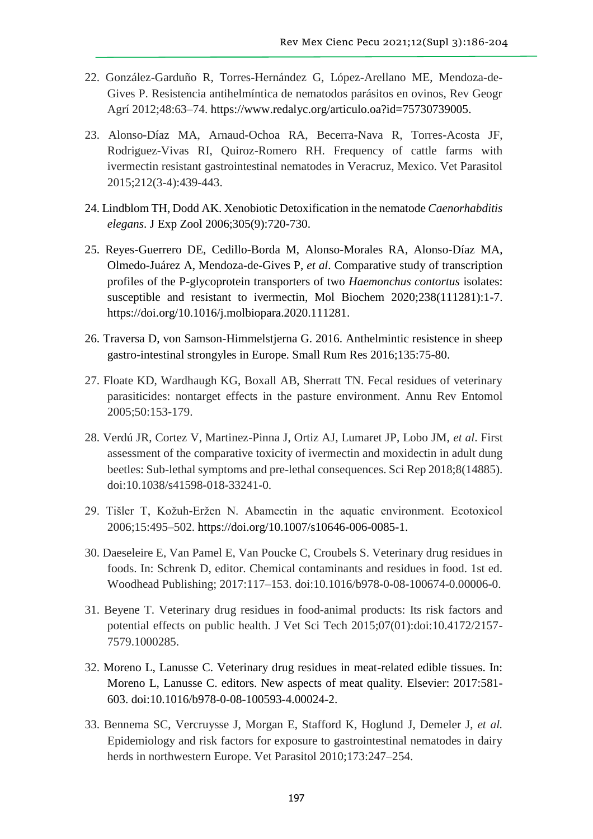- 22. González-Garduño R, Torres-Hernández G, López-Arellano ME, Mendoza-de-Gives P. Resistencia antihelmíntica de nematodos parásitos en ovinos, Rev Geogr Agrí 2012;48:63–74. [https://www.redalyc.org/articulo.oa?id=75730739005.](https://www.redalyc.org/articulo.oa?id=75730739005)
- 23. Alonso-Díaz MA, Arnaud-Ochoa RA, Becerra-Nava R, Torres-Acosta JF, Rodriguez-Vivas RI, Quiroz-Romero RH. Frequency of cattle farms with ivermectin resistant gastrointestinal nematodes in Veracruz, Mexico. Vet Parasitol 2015;212(3-4):439-443.
- 24. Lindblom TH, Dodd AK. Xenobiotic Detoxification in the nematode *Caenorhabditis elegans*. J Exp Zool 2006;305(9):720-730.
- 25. Reyes-Guerrero DE, Cedillo-Borda M, Alonso-Morales RA, Alonso-Díaz MA, Olmedo-Juárez A, Mendoza-de-Gives P, *et al*. Comparative study of transcription profiles of the P-glycoprotein transporters of two *Haemonchus contortus* isolates: susceptible and resistant to ivermectin, Mol Biochem 2020;238(111281):1-7. [https://doi.org/10.1016/j.molbiopara.2020.111281.](https://doi.org/10.1016/j.molbiopara.2020.111281)
- 26. Traversa D, von Samson-Himmelstjerna G. 2016. Anthelmintic resistence in sheep gastro-intestinal strongyles in Europe. Small Rum Res 2016;135:75-80.
- 27. Floate KD, Wardhaugh KG, Boxall AB, Sherratt TN. Fecal residues of veterinary parasiticides: nontarget effects in the pasture environment. Annu Rev Entomol 2005;50:153-179.
- 28. Verdú JR, Cortez V, Martinez-Pinna J, Ortiz AJ, Lumaret JP, Lobo JM, *et al*. First assessment of the comparative toxicity of ivermectin and moxidectin in adult dung beetles: Sub-lethal symptoms and pre-lethal consequences. Sci Rep 2018;8(14885). doi:10.1038/s41598-018-33241-0.
- 29. Tišler T, Kožuh-Eržen N. Abamectin in the aquatic environment. Ecotoxicol 2006;15:495–502. [https://doi.org/10.1007/s10646-006-0085-1.](https://doi.org/10.1007/s10646-006-0085-1)
- 30. Daeseleire E, Van Pamel E, Van Poucke C, Croubels S. Veterinary drug residues in foods. In: Schrenk D, editor. Chemical contaminants and residues in food. 1st ed. Woodhead Publishing; 2017:117–153. doi:10.1016/b978-0-08-100674-0.00006-0.
- 31. Beyene T. Veterinary drug residues in food-animal products: Its risk factors and potential effects on public health. J Vet Sci Tech 2015;07(01):doi:10.4172/2157- 7579.1000285.
- 32. Moreno L, Lanusse C. Veterinary drug residues in meat-related edible tissues. In: [Moreno L,](https://ri.conicet.gov.ar/author/5402) [Lanusse C.](https://ri.conicet.gov.ar/author/195) editors. New aspects of meat quality. Elsevier: 2017:581- 603. doi:10.1016/b978-0-08-100593-4.00024-2.
- 33. Bennema SC, Vercruysse J, Morgan E, Stafford K, Hoglund J, Demeler J, *et al.* Epidemiology and risk factors for exposure to gastrointestinal nematodes in dairy herds in northwestern Europe. Vet Parasitol 2010;173:247–254.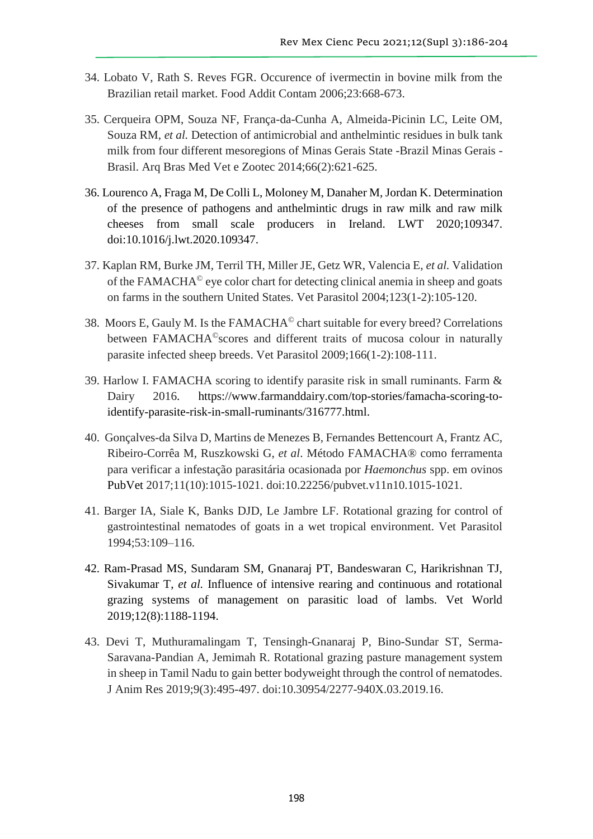- 34. Lobato V, Rath S. Reves FGR. Occurence of ivermectin in bovine milk from the Brazilian retail market. Food Addit Contam 2006;23:668-673.
- 35. Cerqueira OPM, Souza NF, França-da-Cunha A, Almeida-Picinin LC, Leite OM, Souza RM, *et al.* Detection of antimicrobial and anthelmintic residues in bulk tank milk from four different mesoregions of Minas Gerais State -Brazil Minas Gerais - Brasil. Arq Bras Med Vet e Zootec 2014;66(2):621-625.
- 36. Lourenco A, Fraga M, De Colli L, Moloney M, Danaher M, Jordan K. Determination of the presence of pathogens and anthelmintic drugs in raw milk and raw milk cheeses from small scale producers in Ireland. LWT 2020;109347. doi:10.1016/j.lwt.2020.109347.
- 37. Kaplan RM, Burke JM, Terril TH, Miller JE, Getz WR, Valencia E, *et al.* Validation of the FAMACHA© eye color chart for detecting clinical anemia in sheep and goats on farms in the southern United States. Vet Parasitol 2004;123(1-2):105-120.
- 38. Moors E, Gauly M. Is the FAMACHA© chart suitable for every breed? Correlations between FAMACHA©scores and different traits of mucosa colour in naturally parasite infected sheep breeds. Vet Parasitol 2009;166(1-2):108-111.
- 39. Harlow I. FAMACHA scoring to identify parasite risk in small ruminants. Farm & Dairy 2016. [https://www.farmanddairy.com/top-stories/famacha-scoring-to](https://www.farmanddairy.com/top-stories/famacha-scoring-to-identify-parasite-risk-in-small-ruminants/316777.html)[identify-parasite-risk-in-small-ruminants/316777.html.](https://www.farmanddairy.com/top-stories/famacha-scoring-to-identify-parasite-risk-in-small-ruminants/316777.html)
- 40. Gonçalves-da Silva D, Martins de Menezes B, Fernandes Bettencourt A, Frantz AC, Ribeiro-Corrêa M, Ruszkowski G, *et al*. Método FAMACHA® como ferramenta para verificar a infestação parasitária ocasionada por *Haemonchus* spp. em ovinos [PubVet](https://www.researchgate.net/journal/1982-1263_PubVet) 2017;11(10):1015-1021. doi:10.22256/pubvet.v11n10.1015-1021.
- 41. Barger IA, Siale K, Banks DJD, Le Jambre LF. Rotational grazing for control of gastrointestinal nematodes of goats in a wet tropical environment. Vet Parasitol 1994;53:109–116.
- 42. Ram-Prasad MS, Sundaram SM, Gnanaraj PT, Bandeswaran C, Harikrishnan TJ, Sivakumar T, *et al.* Influence of intensive rearing and continuous and rotational grazing systems of management on parasitic load of lambs. Vet World 2019;12(8):1188-1194.
- 43. Devi T, Muthuramalingam T, Tensingh-Gnanaraj P, Bino-Sundar ST, Serma-Saravana-Pandian A, Jemimah R. Rotational grazing pasture management system in sheep in Tamil Nadu to gain better bodyweight through the control of nematodes. J Anim Res 2019;9(3):495-497. doi:10.30954/2277-940X.03.2019.16.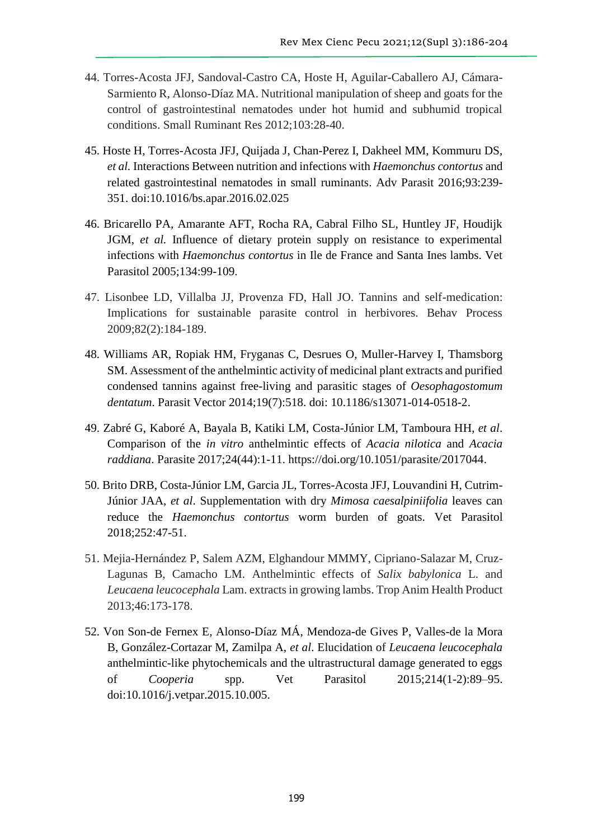- 44. Torres-Acosta JFJ, Sandoval-Castro CA, Hoste H, Aguilar-Caballero AJ, Cámara-Sarmiento R, Alonso-Díaz MA. Nutritional manipulation of sheep and goats for the control of gastrointestinal nematodes under hot humid and subhumid tropical conditions. Small Ruminant Res 2012;103:28-40.
- 45. Hoste H, Torres-Acosta JFJ, Quijada J, Chan-Perez I, Dakheel MM, Kommuru DS, *et al.* Interactions Between nutrition and infections with *Haemonchus contortus* and related gastrointestinal nematodes in small ruminants. Adv Parasit 2016;93:239- 351. doi:10.1016/bs.apar.2016.02.025
- 46. Bricarello PA, Amarante AFT, Rocha RA, Cabral Filho SL, Huntley JF, Houdijk JGM, *et al.* Influence of dietary protein supply on resistance to experimental infections with *Haemonchus contortus* in Ile de France and Santa Ines lambs. Vet Parasitol 2005;134:99-109.
- 47. Lisonbee LD, Villalba JJ, Provenza FD, Hall JO. Tannins and self-medication: Implications for sustainable parasite control in herbivores. Behav Process 2009;82(2):184-189.
- 48. Williams AR, Ropiak HM, Fryganas C, Desrues O, Muller-Harvey I, Thamsborg SM. Assessment of the anthelmintic activity of medicinal plant extracts and purified condensed tannins against free-living and parasitic stages of *Oesophagostomum dentatum*. Parasit Vector 2014;19(7):518. doi: 10.1186/s13071-014-0518-2.
- 49. Zabré G, Kaboré A, Bayala B, Katiki LM, Costa-Júnior LM, Tamboura HH, *et al*. Comparison of the *in vitro* anthelmintic effects of *Acacia nilotica* and *Acacia raddiana*. Parasite 2017;24(44):1-11. [https://doi.org/10.1051/parasite/2017044.](https://doi.org/10.1051/parasite/2017044)
- 50. Brito DRB, Costa-Júnior LM, Garcia JL, Torres-Acosta JFJ, Louvandini H, Cutrim-Júnior JAA, *et al*. Supplementation with dry *Mimosa caesalpiniifolia* leaves can reduce the *Haemonchus contortus* worm burden of goats. Vet Parasitol 2018;252:47-51.
- 51. Mejia-Hernández P, Salem AZM, Elghandour MMMY, Cipriano-Salazar M, Cruz-Lagunas B, Camacho LM. Anthelmintic effects of *Salix babylonica* L. and *Leucaena leucocephala* Lam. extracts in growing lambs. Trop Anim Health Product 2013;46:173-178.
- 52. Von Son-de Fernex E, Alonso-Díaz MÁ, Mendoza-de Gives P, Valles-de la Mora B, González-Cortazar M, Zamilpa A, *et al*. Elucidation of *Leucaena leucocephala*  anthelmintic-like phytochemicals and the ultrastructural damage generated to eggs of *Cooperia* spp. Vet Parasitol 2015;214(1-2):89–95. doi:10.1016/j.vetpar.2015.10.005.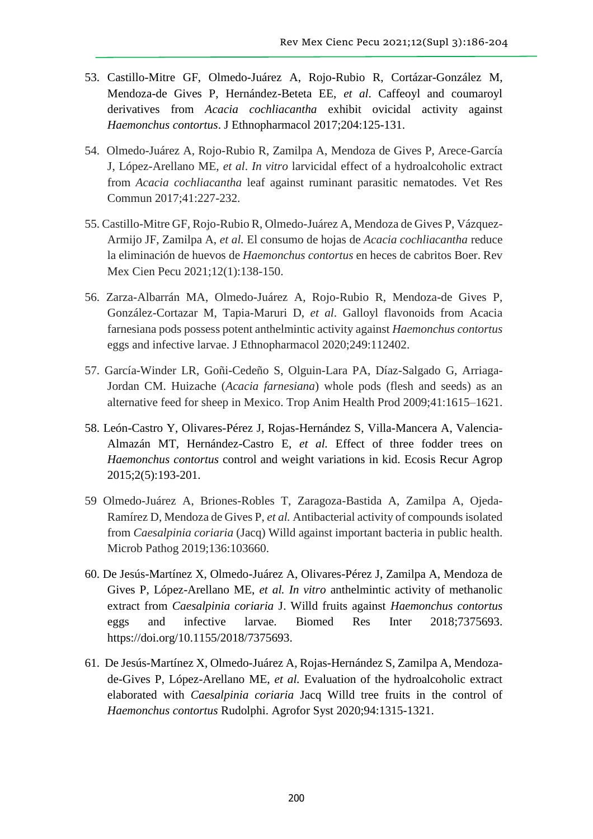- 53. Castillo-Mitre GF, Olmedo-Juárez A, Rojo-Rubio R, Cortázar-González M, Mendoza-de Gives P, Hernández-Beteta EE, *et al*. Caffeoyl and coumaroyl derivatives from *Acacia cochliacantha* exhibit ovicidal activity against *Haemonchus contortus*. J Ethnopharmacol 2017;204:125-131.
- 54. Olmedo-Juárez A, Rojo-Rubio R, Zamilpa A, Mendoza de Gives P, Arece-García J, López-Arellano ME, *et al*. *In vitro* larvicidal effect of a hydroalcoholic extract from *Acacia cochliacantha* leaf against ruminant parasitic nematodes. Vet Res Commun 2017;41:227-232.
- 55. Castillo-Mitre GF, Rojo-Rubio R, Olmedo-Juárez A, Mendoza de Gives P, Vázquez-Armijo JF, Zamilpa A, *et al.* El consumo de hojas de *Acacia cochliacantha* reduce la eliminación de huevos de *Haemonchus contortus* en heces de cabritos Boer. Rev Mex Cien Pecu 2021;12(1):138-150.
- 56. Zarza-Albarrán MA, Olmedo-Juárez A, Rojo-Rubio R, Mendoza-de Gives P, González-Cortazar M, Tapia-Maruri D, *et al*. Galloyl flavonoids from Acacia farnesiana pods possess potent anthelmintic activity against *Haemonchus contortus* eggs and infective larvae. J Ethnopharmacol 2020;249:112402.
- 57. García-Winder LR, Goñi-Cedeño S, Olguin-Lara PA, Díaz-Salgado G, Arriaga-Jordan CM. Huizache (*Acacia farnesiana*) whole pods (flesh and seeds) as an alternative feed for sheep in Mexico. Trop Anim Health Prod 2009;41:1615–1621.
- 58. León-Castro Y, Olivares-Pérez J, Rojas-Hernández S, Villa-Mancera A, Valencia-Almazán MT, Hernández-Castro E, *et al.* Effect of three fodder trees on *Haemonchus contortus* control and weight variations in kid. Ecosis Recur Agrop 2015;2(5):193-201.
- 59 Olmedo-Juárez A, Briones-Robles T, Zaragoza-Bastida A, Zamilpa A, Ojeda-Ramírez D, Mendoza de Gives P, *et al.* Antibacterial activity of compounds isolated from *Caesalpinia coriaria* (Jacq) Willd against important bacteria in public health. Microb Pathog 2019;136:103660.
- 60. De Jesús-Martínez X, Olmedo-Juárez A, Olivares-Pérez J, Zamilpa A, Mendoza de Gives P, López-Arellano ME, *et al. In vitro* anthelmintic activity of methanolic extract from *Caesalpinia coriaria* J. Willd fruits against *Haemonchus contortus* eggs and infective larvae. Biomed Res Inter 2018;7375693. [https://doi.org/10.1155/2018/7375693.](https://doi.org/10.1155/2018/7375693)
- 61. De Jesús-Martínez X, Olmedo-Juárez A, Rojas-Hernández S, Zamilpa A, Mendozade-Gives P, López-Arellano ME, *et al.* Evaluation of the hydroalcoholic extract elaborated with *Caesalpinia coriaria* Jacq Willd tree fruits in the control of *Haemonchus contortus* Rudolphi. Agrofor Syst 2020;94:1315-1321.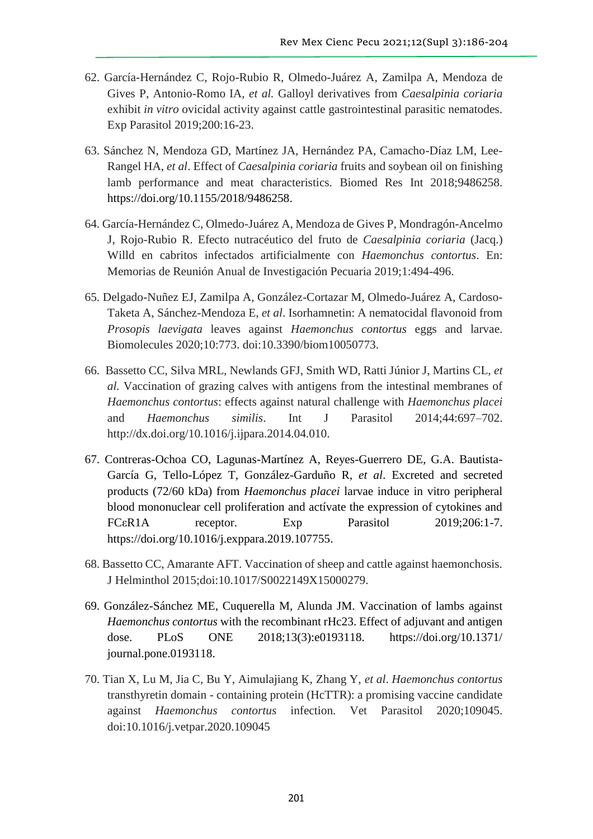- 62. García-Hernández C, Rojo-Rubio R, Olmedo-Juárez A, Zamilpa A, Mendoza de Gives P, Antonio-Romo IA, *et al.* Galloyl derivatives from *Caesalpinia coriaria* exhibit *in vitro* ovicidal activity against cattle gastrointestinal parasitic nematodes. Exp Parasitol 2019;200:16-23.
- 63. Sánchez N, Mendoza GD, Martínez JA, Hernández PA, Camacho-Díaz LM, Lee-Rangel HA, *et al*. Effect of *Caesalpinia coriaria* fruits and soybean oil on finishing lamb performance and meat characteristics. Biomed Res Int 2018;9486258. [https://doi.org/10.1155/2018/9486258.](https://doi.org/10.1155/2018/9486258)
- 64. García-Hernández C, Olmedo-Juárez A, Mendoza de Gives P, Mondragón-Ancelmo J, Rojo-Rubio R. Efecto nutracéutico del fruto de *Caesalpinia coriaria* (Jacq.) Willd en cabritos infectados artificialmente con *Haemonchus contortus*. En: Memorias de Reunión Anual de Investigación Pecuaria 2019;1:494-496.
- 65. Delgado-Nuñez EJ, Zamilpa A, González-Cortazar M, Olmedo-Juárez A, Cardoso-Taketa A, Sánchez-Mendoza E, *et al*. Isorhamnetin: A nematocidal flavonoid from *Prosopis laevigata* leaves against *Haemonchus contortus* eggs and larvae. Biomolecules 2020;10:773. doi:10.3390/biom10050773.
- 66. Bassetto CC, Silva MRL, Newlands GFJ, Smith WD, Ratti Júnior J, Martins CL, *et al.* Vaccination of grazing calves with antigens from the intestinal membranes of *Haemonchus contortus*: effects against natural challenge with *Haemonchus placei* and *Haemonchus similis*. Int J Parasitol 2014;44:697–702. http://dx.doi.org/10.1016/j.ijpara.2014.04.010.
- 67. Contreras-Ochoa CO, Lagunas-Martínez A, Reyes-Guerrero DE, G.A. Bautista-García G, Tello-López T, González-Garduño R, *et al*. Excreted and secreted products (72/60 kDa) from *Haemonchus placei* larvae induce in vitro peripheral blood mononuclear cell proliferation and actívate the expression of cytokines and FCεR1A receptor. Exp Parasitol 2019;206:1-7. [https://doi.org/10.1016/j.exppara.2019.107755.](https://doi.org/10.1016/j.exppara.2019.107755)
- 68. Bassetto CC, Amarante AFT. Vaccination of sheep and cattle against haemonchosis. J Helminthol 2015;doi:10.1017/S0022149X15000279.
- 69. González-Sánchez ME, Cuquerella M, Alunda JM. Vaccination of lambs against *Haemonchus contortus* with the recombinant rHc23. Effect of adjuvant and antigen dose. PLoS ONE 2018;13(3):e0193118. https://doi.org/10.1371/ journal.pone.0193118.
- 70. Tian X, Lu M, Jia C, Bu Y, Aimulajiang K, Zhang Y, *et al*. *Haemonchus contortus* transthyretin domain - containing protein (HcTTR): a promising vaccine candidate against *Haemonchus contortus* infection. Vet Parasitol 2020;109045. doi:10.1016/j.vetpar.2020.109045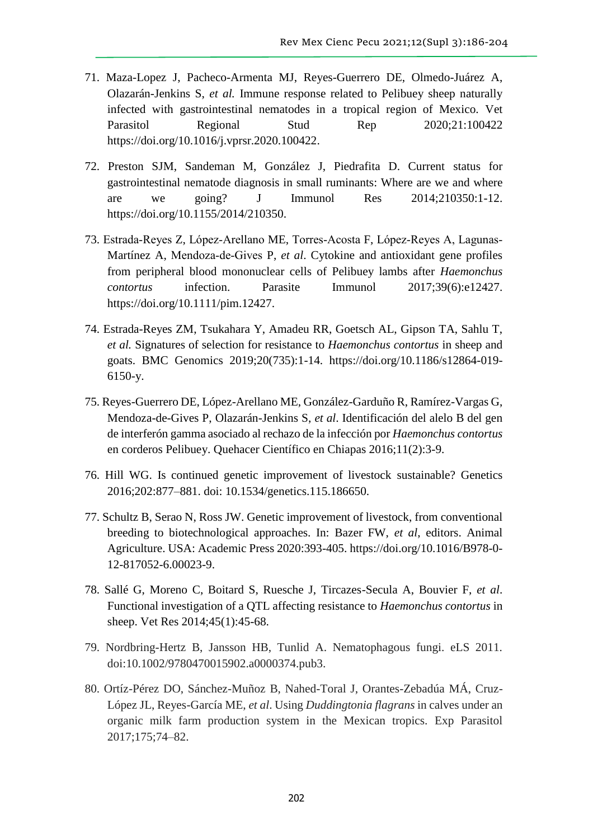- 71. [Maza-Lopez](https://www.sciencedirect.com/science/article/abs/pii/S2405939020302033#!) J, [Pacheco-Armenta](https://www.sciencedirect.com/science/article/abs/pii/S2405939020302033#!) MJ, [Reyes-Guerrero](https://www.sciencedirect.com/science/article/abs/pii/S2405939020302033#!) DE, [Olmedo-Juárez](https://www.sciencedirect.com/science/article/abs/pii/S2405939020302033#!) A, [Olazarán-Jenkins](https://www.sciencedirect.com/science/article/abs/pii/S2405939020302033#!) S, *et al.* Immune response related to Pelibuey sheep naturally infected with gastrointestinal nematodes in a tropical region of Mexico. [Vet](https://www.sciencedirect.com/science/journal/24059390)  [Parasitol Regional Stud Rep](https://www.sciencedirect.com/science/journal/24059390) 2020;21:100422 [https://doi.org/10.1016/j.vprsr.2020.100422.](https://doi.org/10.1016/j.vprsr.2020.100422)
- 72. Preston SJM, Sandeman M, González J, Piedrafita D. Current status for gastrointestinal nematode diagnosis in small ruminants: Where are we and where are we going? J Immunol Res 2014;210350:1-12. [https://doi.org/10.1155/2014/210350.](https://doi.org/10.1155/2014/210350)
- 73. [Estrada‐Reyes](https://onlinelibrary.wiley.com/action/doSearch?ContribAuthorStored=Estrada-Reyes%2C+Z) Z, [López‐Arellano](https://onlinelibrary.wiley.com/action/doSearch?ContribAuthorStored=L%C3%B3pez-Arellano%2C+M+E) ME, [Torres‐Acosta](https://onlinelibrary.wiley.com/action/doSearch?ContribAuthorStored=Torres-Acosta%2C+F) F, [López‐Reyes](https://onlinelibrary.wiley.com/action/doSearch?ContribAuthorStored=L%C3%B3pez-Reyes%2C+A) A, Lagunas‐ Martínez [A, Mendoza‐de‐Gives](https://onlinelibrary.wiley.com/action/doSearch?ContribAuthorStored=Lagunas-Mart%C3%ADnez%2C+A) P, *et al*. Cytokine and antioxidant gene profiles from peripheral blood mononuclear cells of Pelibuey lambs after *Haemonchus contortus* infection. Parasite Immunol 2017;39(6):e12427. [https://doi.org/10.1111/pim.12427.](https://doi.org/10.1111/pim.12427)
- 74. Estrada-Reyes ZM, Tsukahara Y, Amadeu RR, Goetsch AL, Gipson TA, Sahlu T, *et al.* Signatures of selection for resistance to *Haemonchus contortus* in sheep and goats. BMC Genomics 2019;20(735):1-14. [https://doi.org/10.1186/s12864-019-](https://doi.org/10.1186/s12864-019-6150-y) [6150-y.](https://doi.org/10.1186/s12864-019-6150-y)
- 75. Reyes-Guerrero DE, López-Arellano ME, González-Garduño R, Ramírez-Vargas G, Mendoza-de-Gives P, Olazarán-Jenkins S, *et al*. Identificación del alelo B del gen de interferón gamma asociado al rechazo de la infección por *Haemonchus contortus* en corderos Pelibuey. Quehacer Científico en Chiapas 2016;11(2):3-9.
- 76. Hill WG. Is continued genetic improvement of livestock sustainable? Genetics 2016;202:877–881. doi: 10.1534/genetics.115.186650.
- 77. Schultz B, Serao N, Ross JW. Genetic improvement of livestock, from conventional breeding to biotechnological approaches. In: Bazer FW, *et al*, editors. Animal Agriculture. USA: Academic Press 2020:393-405. [https://doi.org/10.1016/B978-0-](https://doi.org/10.1016/B978-0-12-817052-6.00023-9) [12-817052-6.00023-9.](https://doi.org/10.1016/B978-0-12-817052-6.00023-9)
- 78. Sallé G, Moreno C, Boitard S, Ruesche J, Tircazes-Secula A, Bouvier F, *et al*. Functional investigation of a QTL affecting resistance to *Haemonchus contortus* in sheep. Vet Res 2014;45(1):45-68.
- 79. Nordbring-Hertz B, Jansson HB, Tunlid A. Nematophagous fungi. eLS 2011. doi:10.1002/9780470015902.a0000374.pub3.
- 80. Ortíz-Pérez DO, Sánchez-Muñoz B, Nahed-Toral J, Orantes-Zebadúa MÁ, Cruz-López JL, Reyes-García ME, *et al*. Using *Duddingtonia flagrans* in calves under an organic milk farm production system in the Mexican tropics. Exp Parasitol 2017;175;74–82.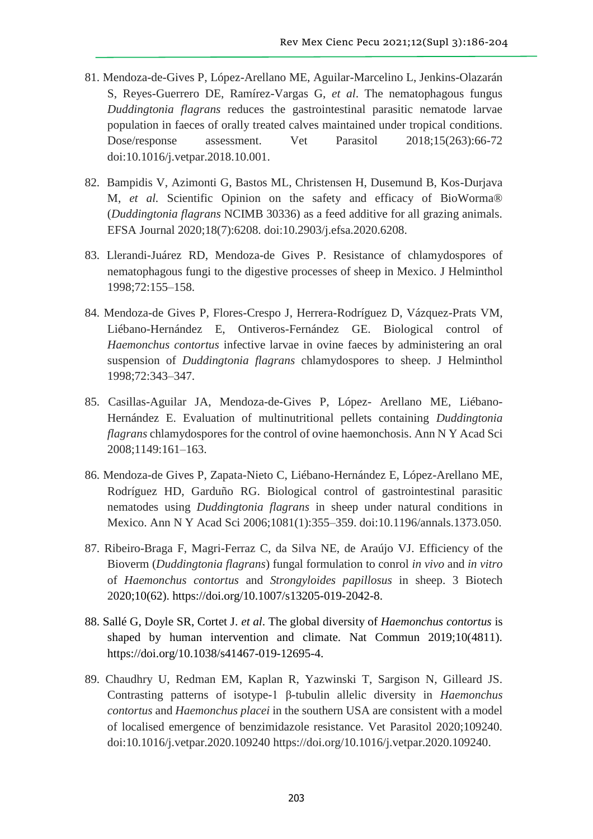- 81. Mendoza-de-Gives P, López-Arellano ME, Aguilar-Marcelino L, Jenkins-Olazarán S, Reyes-Guerrero DE, Ramírez-Vargas G, *et al*. The nematophagous fungus *Duddingtonia flagrans* reduces the gastrointestinal parasitic nematode larvae population in faeces of orally treated calves maintained under tropical conditions. Dose/response assessment. Vet Parasitol 2018;15(263):66-72 doi:10.1016/j.vetpar.2018.10.001.
- 82. Bampidis V, Azimonti G, Bastos ML, Christensen H, Dusemund B, Kos-Durjava M, *et al.* Scientific Opinion on the safety and efficacy of BioWorma® (*Duddingtonia flagrans* NCIMB 30336) as a feed additive for all grazing animals. EFSA Journal 2020;18(7):6208. doi:10.2903/j.efsa.2020.6208.
- 83. Llerandi-Juárez RD, Mendoza-de Gives P. Resistance of chlamydospores of nematophagous fungi to the digestive processes of sheep in Mexico. J Helminthol 1998;72:155–158.
- 84. Mendoza-de Gives P, Flores-Crespo J, Herrera-Rodríguez D, Vázquez-Prats VM, Liébano-Hernández E, Ontiveros-Fernández GE. Biological control of *Haemonchus contortus* infective larvae in ovine faeces by administering an oral suspension of *Duddingtonia flagrans* chlamydospores to sheep. J Helminthol 1998;72:343–347.
- 85. Casillas-Aguilar JA, Mendoza-de-Gives P, López- Arellano ME, Liébano-Hernández E. Evaluation of multinutritional pellets containing *Duddingtonia flagrans* chlamydospores for the control of ovine haemonchosis. Ann N Y Acad Sci 2008;1149:161–163.
- 86. Mendoza-de Gives P, Zapata-Nieto C, Liébano-Hernández E, López-Arellano ME, Rodríguez HD, Garduño RG. Biological control of gastrointestinal parasitic nematodes using *Duddingtonia flagrans* in sheep under natural conditions in Mexico. Ann N Y Acad Sci 2006;1081(1):355–359. doi:10.1196/annals.1373.050.
- 87. Ribeiro-Braga F, Magri-Ferraz C, da Silva NE, de Araújo VJ. Efficiency of the Bioverm (*Duddingtonia flagrans*) fungal formulation to conrol *in vivo* and *in vitro* of *Haemonchus contortus* and *Strongyloides papillosus* in sheep. 3 Biotech 2020;10(62). [https://doi.org/10.1007/s13205-019-2042-8.](https://doi.org/10.1007/s13205-019-2042-8)
- 88. Sallé G, Doyle SR, Cortet J. *et al*. The global diversity of *Haemonchus contortus* is shaped by human intervention and climate. Nat Commun 2019;10(4811). [https://doi.org/10.1038/s41467-019-12695-4.](https://doi.org/10.1038/s41467-019-12695-4)
- 89. Chaudhry U, Redman EM, Kaplan R, Yazwinski T, Sargison N, Gilleard JS. Contrasting patterns of isotype-1 β-tubulin allelic diversity in *Haemonchus contortus* and *Haemonchus placei* in the southern USA are consistent with a model of localised emergence of benzimidazole resistance. Vet Parasitol 2020;109240. doi:10.1016/j.vetpar.2020.109240 [https://doi.org/10.1016/j.vetpar.2020.109240.](https://doi.org/10.1016/j.vetpar.2020.109240)